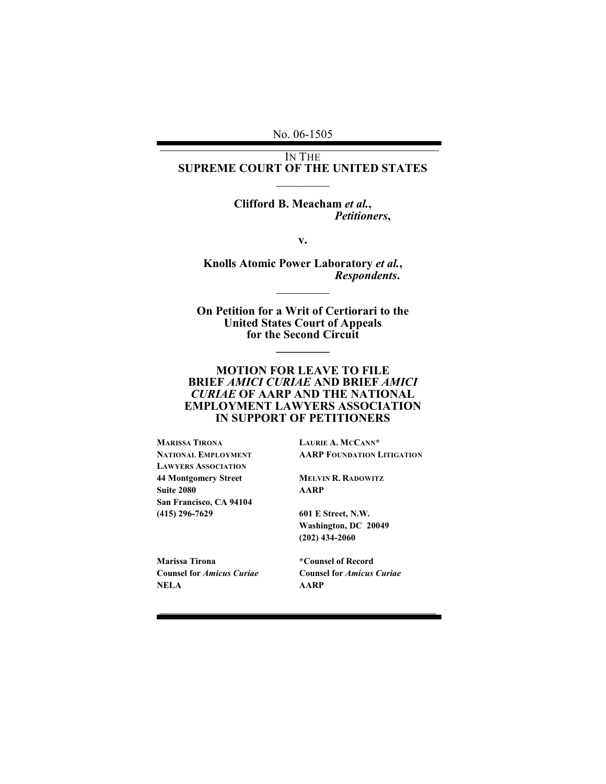No. 06-1505

### IN THE **SUPREME COURT OF THE UNITED STATES**  $\mathcal{L}$

### **Clifford B. Meacham** *et al.***,** *Petitioners***,**

**v.**

**Knolls Atomic Power Laboratory** *et al.***,** *Respondents***.**  $\mathcal{L}$ 

**On Petition for a Writ of Certiorari to the United States Court of Appeals for the Second Circuit**

**\_\_\_\_\_\_\_\_\_**

### **MOTION FOR LEAVE TO FILE BRIEF** *AMICI CURIAE* **AND BRIEF** *AMICI CURIAE* **OF AARP AND THE NATIONAL EMPLOYMENT LAWYERS ASSOCIATION IN SUPPORT OF PETITIONERS**

**MARISSA TIRONA LAURIE A. MCCANN\* LAWYERS ASSOCIATION 44 Montgomery Street MELVIN R. RADOWITZ Suite 2080 AARP San Francisco, CA 94104 (415) 296-7629 601 E Street, N.W.**

I

**NATIONAL EMPLOYMENT AARP FOUNDATION LITIGATION**

**Washington, DC 20049 (202) 434-2060**

**Marissa Tirona \*Counsel of Record NELA AARP**

**Counsel for** *Amicus Curiae* **Counsel for** *Amicus Curiae*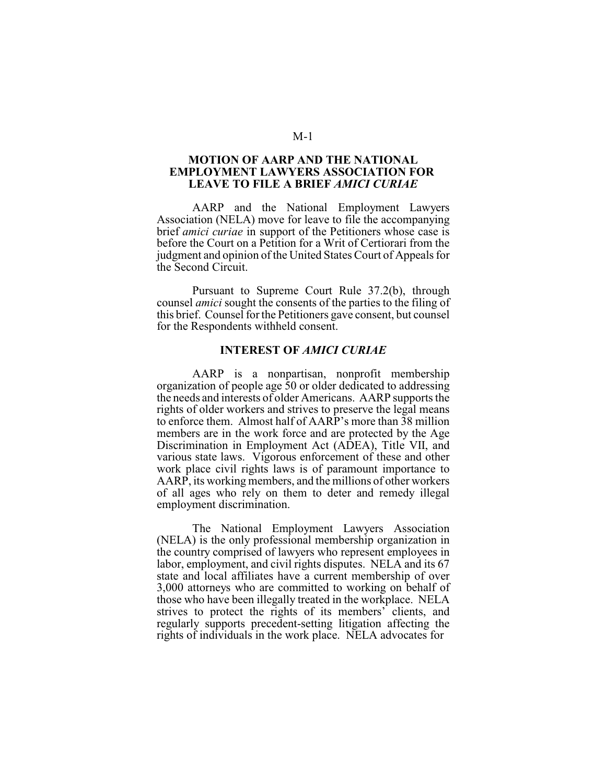#### **MOTION OF AARP AND THE NATIONAL EMPLOYMENT LAWYERS ASSOCIATION FOR LEAVE TO FILE A BRIEF** *AMICI CURIAE*

AARP and the National Employment Lawyers Association (NELA) move for leave to file the accompanying brief *amici curiae* in support of the Petitioners whose case is before the Court on a Petition for a Writ of Certiorari from the judgment and opinion of the United States Court of Appeals for the Second Circuit.

Pursuant to Supreme Court Rule 37.2(b), through counsel *amici* sought the consents of the parties to the filing of this brief. Counsel for the Petitioners gave consent, but counsel for the Respondents withheld consent.

### **INTEREST OF** *AMICI CURIAE*

AARP is a nonpartisan, nonprofit membership organization of people age 50 or older dedicated to addressing the needs and interests of older Americans. AARP supports the rights of older workers and strives to preserve the legal means to enforce them. Almost half of AARP's more than 38 million members are in the work force and are protected by the Age Discrimination in Employment Act (ADEA), Title VII, and various state laws. Vigorous enforcement of these and other work place civil rights laws is of paramount importance to AARP, its working members, and the millions of other workers of all ages who rely on them to deter and remedy illegal employment discrimination.

The National Employment Lawyers Association (NELA) is the only professional membership organization in the country comprised of lawyers who represent employees in labor, employment, and civil rights disputes. NELA and its 67 state and local affiliates have a current membership of over 3,000 attorneys who are committed to working on behalf of those who have been illegally treated in the workplace. NELA strives to protect the rights of its members' clients, and regularly supports precedent-setting litigation affecting the rights of individuals in the work place. NELA advocates for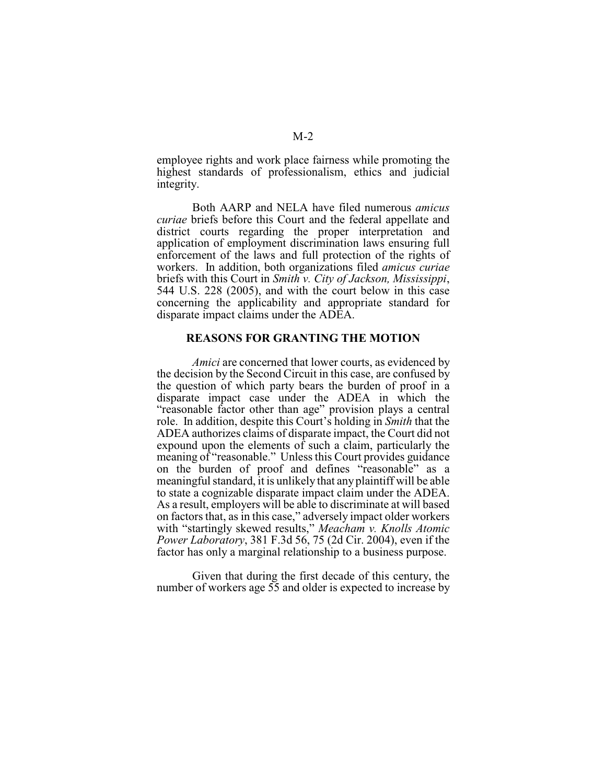employee rights and work place fairness while promoting the highest standards of professionalism, ethics and judicial integrity.

Both AARP and NELA have filed numerous *amicus curiae* briefs before this Court and the federal appellate and district courts regarding the proper interpretation and application of employment discrimination laws ensuring full enforcement of the laws and full protection of the rights of workers. In addition, both organizations filed *amicus curiae* briefs with this Court in *Smith v. City of Jackson, Mississippi*, 544 U.S. 228 (2005), and with the court below in this case concerning the applicability and appropriate standard for disparate impact claims under the ADEA.

#### **REASONS FOR GRANTING THE MOTION**

*Amici* are concerned that lower courts, as evidenced by the decision by the Second Circuit in this case, are confused by the question of which party bears the burden of proof in a disparate impact case under the ADEA in which the "reasonable factor other than age" provision plays a central role. In addition, despite this Court's holding in *Smith* that the ADEA authorizes claims of disparate impact, the Court did not expound upon the elements of such a claim, particularly the meaning of "reasonable." Unless this Court provides guidance on the burden of proof and defines "reasonable" as a meaningful standard, it is unlikely that any plaintiff will be able to state a cognizable disparate impact claim under the ADEA. As a result, employers will be able to discriminate at will based on factors that, as in this case," adversely impact older workers with "startingly skewed results," *Meacham v. Knolls Atomic Power Laboratory*, 381 F.3d 56, 75 (2d Cir. 2004), even if the factor has only a marginal relationship to a business purpose.

Given that during the first decade of this century, the number of workers age 55 and older is expected to increase by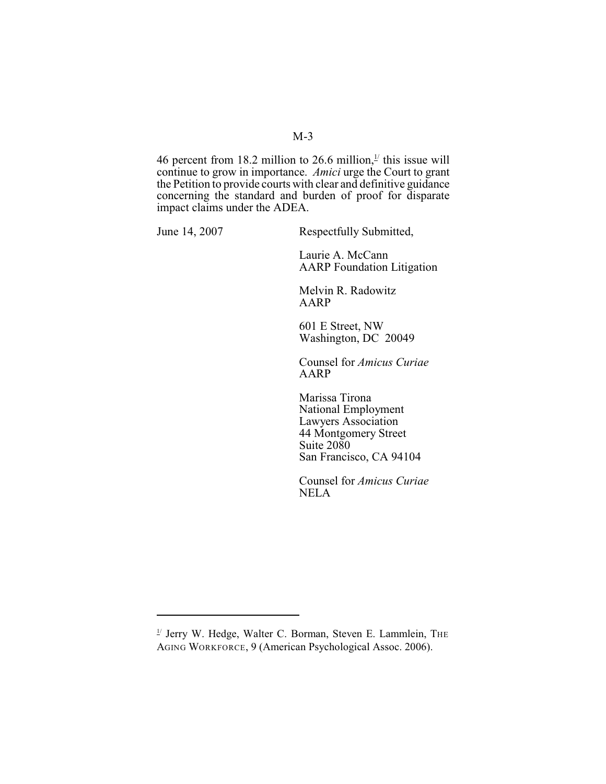## M-3

46 percent from 18.2 million to 26.6 million, $\frac{1}{2}$  this issue will continue to grow in importance. *Amici* urge the Court to grant the Petition to provide courts with clear and definitive guidance concerning the standard and burden of proof for disparate impact claims under the ADEA.

June 14, 2007 Respectfully Submitted,

Laurie A. McCann AARP Foundation Litigation

Melvin R. Radowitz AARP

601 E Street, NW Washington, DC 20049

Counsel for *Amicus Curiae* AARP

Marissa Tirona National Employment Lawyers Association 44 Montgomery Street Suite 2080 San Francisco, CA 94104

Counsel for *Amicus Curiae* NELA

 $1/$  Jerry W. Hedge, Walter C. Borman, Steven E. Lammlein, THE AGING WORKFORCE, 9 (American Psychological Assoc. 2006).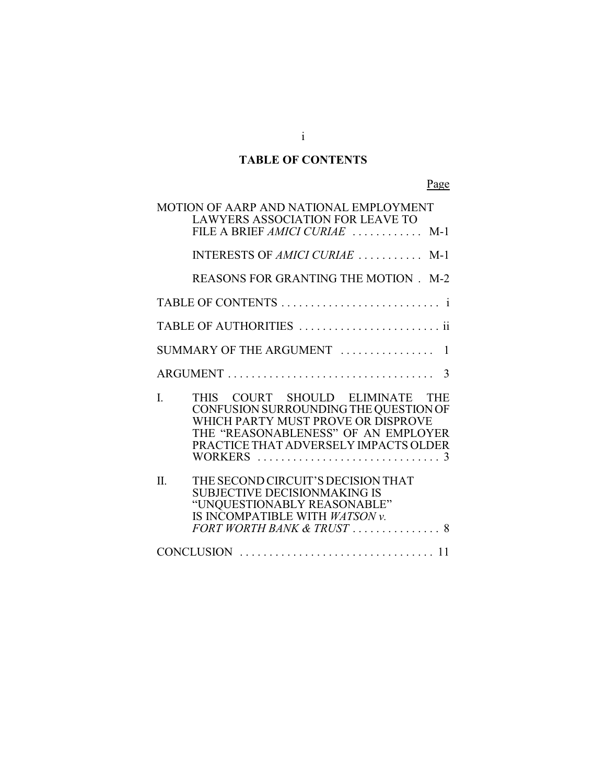# **TABLE OF CONTENTS**

Page

| MOTION OF AARP AND NATIONAL EMPLOYMENT<br><b>LAWYERS ASSOCIATION FOR LEAVE TO</b>                                                                                                                    |
|------------------------------------------------------------------------------------------------------------------------------------------------------------------------------------------------------|
| FILE A BRIEF AMICI CURIAE  M-1                                                                                                                                                                       |
| INTERESTS OF AMICI CURIAE  M-1                                                                                                                                                                       |
| REASONS FOR GRANTING THE MOTION. M-2                                                                                                                                                                 |
|                                                                                                                                                                                                      |
| TABLE OF AUTHORITIES  ii                                                                                                                                                                             |
| SUMMARY OF THE ARGUMENT  1                                                                                                                                                                           |
| $ARGUMENT \dots \dots \dots \dots \dots \dots \dots \dots \dots \dots \dots \dots$ 3                                                                                                                 |
| THIS COURT SHOULD ELIMINATE THE<br>I.<br>CONFUSION SURROUNDING THE QUESTION OF<br>WHICH PARTY MUST PROVE OR DISPROVE<br>THE "REASONABLENESS" OF AN EMPLOYER<br>PRACTICE THAT ADVERSELY IMPACTS OLDER |
| THE SECOND CIRCUIT'S DECISION THAT<br>$\Pi$ .<br><b>SUBJECTIVE DECISIONMAKING IS</b><br>"UNQUESTIONABLY REASONABLE"<br>IS INCOMPATIBLE WITH WATSON v.<br>FORT WORTH BANK & TRUST  8                  |
|                                                                                                                                                                                                      |

i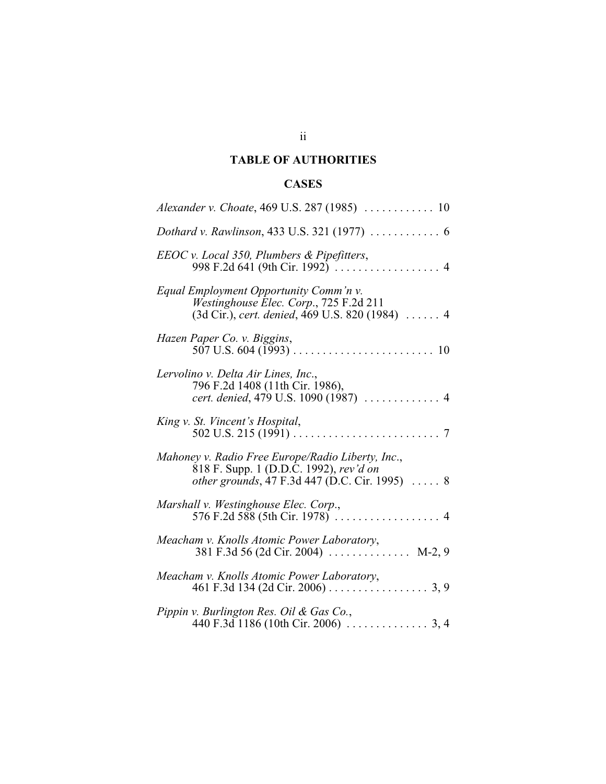# **TABLE OF AUTHORITIES**

# **CASES**

| Dothard v. Rawlinson, 433 U.S. 321 (1977)  6                                                                                                          |
|-------------------------------------------------------------------------------------------------------------------------------------------------------|
| EEOC v. Local 350, Plumbers & Pipefitters,                                                                                                            |
| Equal Employment Opportunity Comm'n v.<br>Westinghouse Elec. Corp., 725 F.2d 211<br>(3d Cir.), cert. denied, 469 U.S. 820 (1984)  4                   |
| Hazen Paper Co. v. Biggins,                                                                                                                           |
| Lervolino v. Delta Air Lines, Inc.,<br>796 F.2d 1408 (11th Cir. 1986),<br>cert. denied, 479 U.S. 1090 (1987)  4                                       |
| King v. St. Vincent's Hospital,<br>$7\phantom{.0}$                                                                                                    |
| Mahoney v. Radio Free Europe/Radio Liberty, Inc.,<br>818 F. Supp. 1 (D.D.C. 1992), rev'd on<br><i>other grounds</i> , 47 F.3d 447 (D.C. Cir. 1995)  8 |
| Marshall v. Westinghouse Elec. Corp.,                                                                                                                 |
| Meacham v. Knolls Atomic Power Laboratory,<br>381 F.3d 56 (2d Cir. 2004)  M-2, 9                                                                      |
| Meacham v. Knolls Atomic Power Laboratory,                                                                                                            |
| Pippin v. Burlington Res. Oil & Gas Co.,                                                                                                              |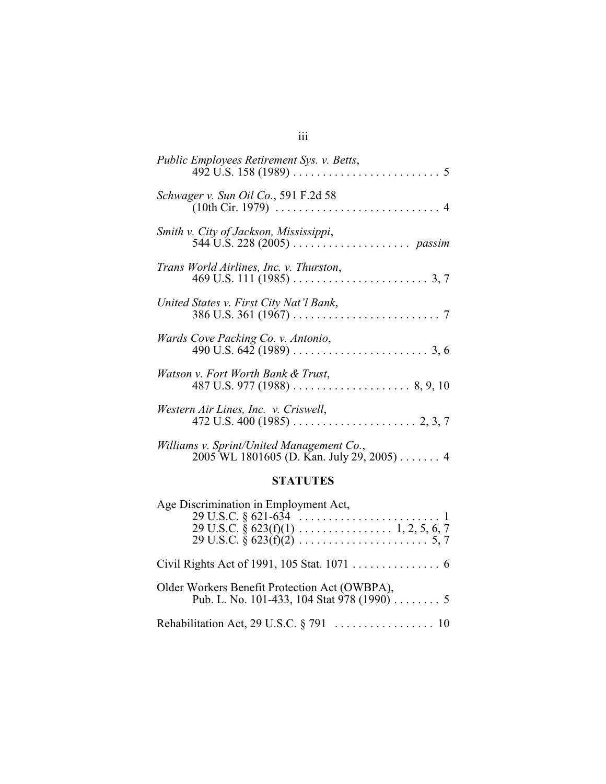| Public Employees Retirement Sys. v. Betts,                                                                                                |
|-------------------------------------------------------------------------------------------------------------------------------------------|
| Schwager v. Sun Oil Co., 591 F.2d 58<br>$(10th$ Cir. 1979) $\ldots \ldots \ldots \ldots \ldots \ldots \ldots \ldots \ldots \ldots \ldots$ |
| Smith v. City of Jackson, Mississippi,                                                                                                    |
| Trans World Airlines, Inc. v. Thurston,                                                                                                   |
| United States v. First City Nat'l Bank,                                                                                                   |
| Wards Cove Packing Co. v. Antonio,                                                                                                        |
| Watson v. Fort Worth Bank & Trust,                                                                                                        |
| Western Air Lines, Inc. v. Criswell,                                                                                                      |
| Williams v. Sprint/United Management Co.,                                                                                                 |

# **STATUTES**

2005 WL 1801605 (D. Kan. July 29, 2005) . . . . . . . 4

| Age Discrimination in Employment Act,                                                       |
|---------------------------------------------------------------------------------------------|
|                                                                                             |
|                                                                                             |
|                                                                                             |
|                                                                                             |
| Older Workers Benefit Protection Act (OWBPA),<br>Pub. L. No. 101-433, 104 Stat 978 (1990) 5 |
|                                                                                             |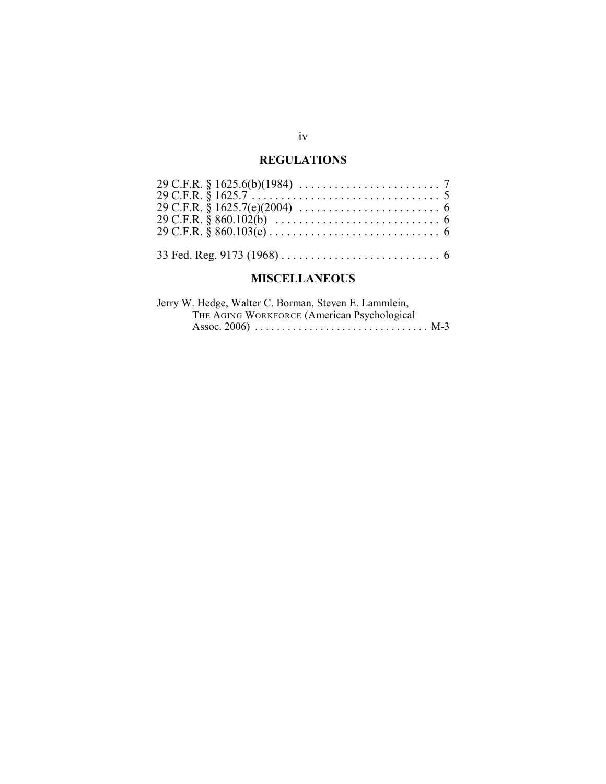## **REGULATIONS**

## **MISCELLANEOUS**

| Jerry W. Hedge, Walter C. Borman, Steven E. Lammlein, |  |
|-------------------------------------------------------|--|
| THE AGING WORKFORCE (American Psychological           |  |
|                                                       |  |

## iv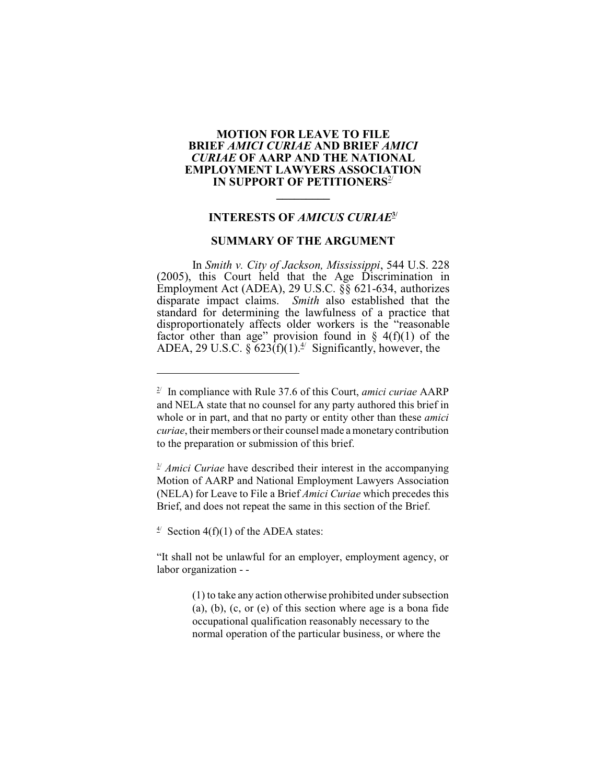### **MOTION FOR LEAVE TO FILE BRIEF** *AMICI CURIAE* **AND BRIEF** *AMICI CURIAE* **OF AARP AND THE NATIONAL EMPLOYMENT LAWYERS ASSOCIATION IN SUPPORT OF PETITIONERS<sup>2/</sup>**

### **INTERESTS OF** *AMICUS CURIAE***3/**

**\_\_\_\_\_\_\_\_\_**

### **SUMMARY OF THE ARGUMENT**

In *Smith v. City of Jackson, Mississippi*, 544 U.S. 228 (2005), this Court held that the Age Discrimination in Employment Act (ADEA), 29 U.S.C. §§ 621-634, authorizes disparate impact claims. *Smith* also established that the standard for determining the lawfulness of a practice that disproportionately affects older workers is the "reasonable factor other than age" provision found in  $\S$  4(f)(1) of the ADEA, 29 U.S.C. §  $623(f)(1)^{4}$  Significantly, however, the

 $\frac{3}{2}$  *Amici Curiae* have described their interest in the accompanying Motion of AARP and National Employment Lawyers Association (NELA) for Leave to File a Brief *Amici Curiae* which precedes this Brief, and does not repeat the same in this section of the Brief.

 $\frac{4}{3}$  Section 4(f)(1) of the ADEA states:

"It shall not be unlawful for an employer, employment agency, or labor organization - -

> (1) to take any action otherwise prohibited under subsection (a), (b), (c, or (e) of this section where age is a bona fide occupational qualification reasonably necessary to the normal operation of the particular business, or where the

 $2^{\prime}$  In compliance with Rule 37.6 of this Court, *amici curiae* AARP and NELA state that no counsel for any party authored this brief in whole or in part, and that no party or entity other than these *amici curiae*, their members or their counsel made a monetary contribution to the preparation or submission of this brief.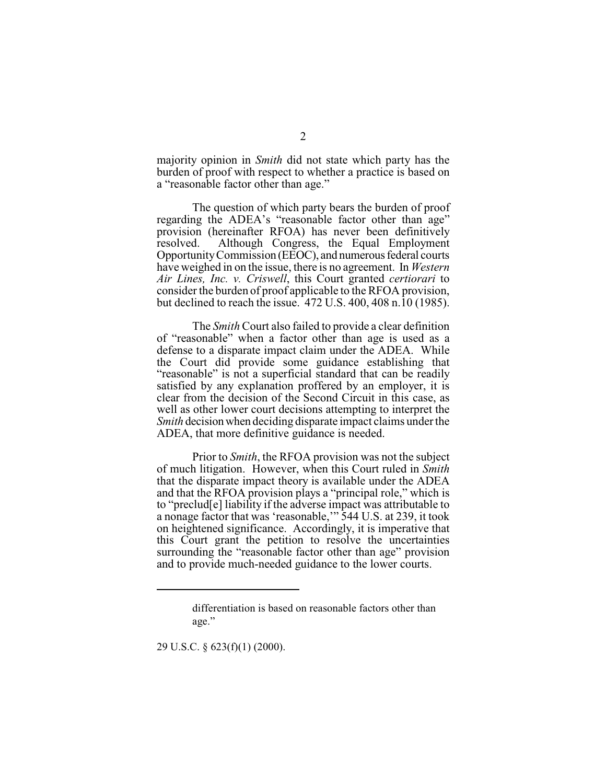majority opinion in *Smith* did not state which party has the burden of proof with respect to whether a practice is based on a "reasonable factor other than age."

The question of which party bears the burden of proof regarding the ADEA's "reasonable factor other than age" provision (hereinafter RFOA) has never been definitively resolved. Although Congress, the Equal Employment Opportunity Commission (EEOC), and numerous federal courts have weighed in on the issue, there is no agreement. In *Western Air Lines, Inc. v. Criswell*, this Court granted *certiorari* to consider the burden of proof applicable to the RFOA provision, but declined to reach the issue. 472 U.S. 400, 408 n.10 (1985).

The *Smith* Court also failed to provide a clear definition of "reasonable" when a factor other than age is used as a defense to a disparate impact claim under the ADEA. While the Court did provide some guidance establishing that "reasonable" is not a superficial standard that can be readily satisfied by any explanation proffered by an employer, it is clear from the decision of the Second Circuit in this case, as well as other lower court decisions attempting to interpret the *Smith* decision when deciding disparate impact claims under the ADEA, that more definitive guidance is needed.

Prior to *Smith*, the RFOA provision was not the subject of much litigation. However, when this Court ruled in *Smith* that the disparate impact theory is available under the ADEA and that the RFOA provision plays a "principal role," which is to "preclud[e] liability if the adverse impact was attributable to a nonage factor that was 'reasonable,'" 544 U.S. at 239, it took on heightened significance. Accordingly, it is imperative that this Court grant the petition to resolve the uncertainties surrounding the "reasonable factor other than age" provision and to provide much-needed guidance to the lower courts.

29 U.S.C. § 623(f)(1) (2000).

differentiation is based on reasonable factors other than age."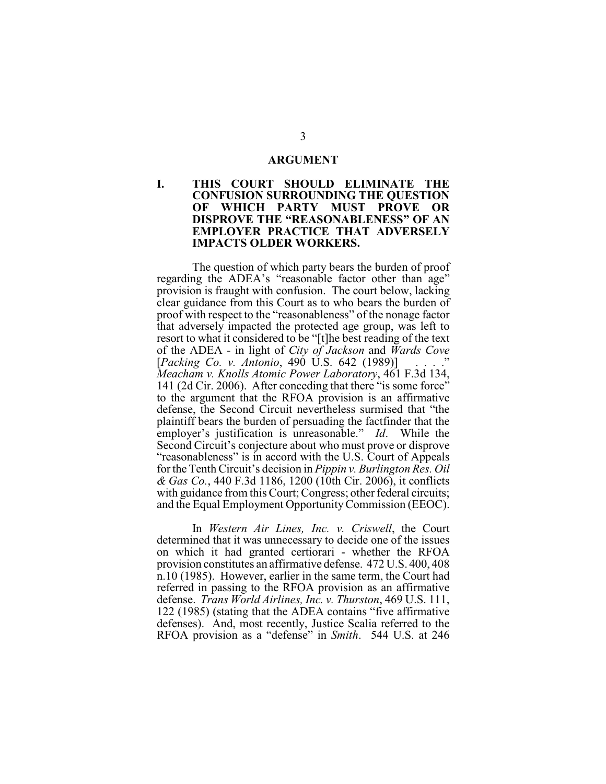#### **ARGUMENT**

### **I. THIS COURT SHOULD ELIMINATE THE CONFUSION SURROUNDING THE QUESTION OF WHICH PARTY MUST PROVE OR DISPROVE THE "REASONABLENESS" OF AN EMPLOYER PRACTICE THAT ADVERSELY IMPACTS OLDER WORKERS.**

The question of which party bears the burden of proof regarding the ADEA's "reasonable factor other than age" provision is fraught with confusion. The court below, lacking clear guidance from this Court as to who bears the burden of proof with respect to the "reasonableness" of the nonage factor that adversely impacted the protected age group, was left to resort to what it considered to be "[t]he best reading of the text of the ADEA - in light of *City of Jackson* and *Wards Cove* [*Packing Co. v. Antonio*, 490 U.S. 642 (1989)] . . . ." *Meacham v. Knolls Atomic Power Laboratory*, 461 F.3d 134, 141 (2d Cir. 2006). After conceding that there "is some force" to the argument that the RFOA provision is an affirmative defense, the Second Circuit nevertheless surmised that "the plaintiff bears the burden of persuading the factfinder that the employer's justification is unreasonable." *Id*. While the Second Circuit's conjecture about who must prove or disprove "reasonableness" is in accord with the U.S. Court of Appeals for the Tenth Circuit's decision in *Pippin v. Burlington Res. Oil & Gas Co.*, 440 F.3d 1186, 1200 (10th Cir. 2006), it conflicts with guidance from this Court; Congress; other federal circuits; and the Equal Employment Opportunity Commission (EEOC).

In *Western Air Lines, Inc. v. Criswell*, the Court determined that it was unnecessary to decide one of the issues on which it had granted certiorari - whether the RFOA provision constitutes an affirmative defense. 472 U.S. 400, 408 n.10 (1985). However, earlier in the same term, the Court had referred in passing to the RFOA provision as an affirmative defense. *Trans World Airlines, Inc. v. Thurston*, 469 U.S. 111, 122 (1985) (stating that the ADEA contains "five affirmative defenses). And, most recently, Justice Scalia referred to the RFOA provision as a "defense" in *Smith*. 544 U.S. at 246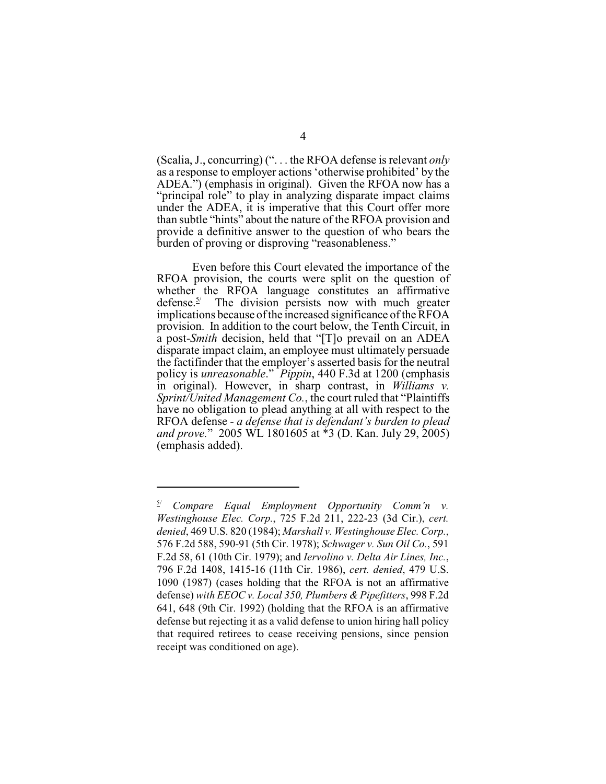(Scalia, J., concurring) (". . . the RFOA defense is relevant *only* as a response to employer actions 'otherwise prohibited' by the ADEA.") (emphasis in original). Given the RFOA now has a "principal role" to play in analyzing disparate impact claims under the ADEA, it is imperative that this Court offer more than subtle "hints" about the nature of the RFOA provision and provide a definitive answer to the question of who bears the burden of proving or disproving "reasonableness."

Even before this Court elevated the importance of the RFOA provision, the courts were split on the question of whether the RFOA language constitutes an affirmative defense.<sup> $5/$ </sup> The division persists now with much greater implications because of the increased significance of the RFOA provision. In addition to the court below, the Tenth Circuit, in a post-*Smith* decision, held that "[T]o prevail on an ADEA disparate impact claim, an employee must ultimately persuade the factifinder that the employer's asserted basis for the neutral policy is *unreasonable*." *Pippin*, 440 F.3d at 1200 (emphasis in original). However, in sharp contrast, in *Williams v. Sprint/United Management Co.*, the court ruled that "Plaintiffs have no obligation to plead anything at all with respect to the RFOA defense - *a defense that is defendant's burden to plead and prove.*" 2005 WL 1801605 at \*3 (D. Kan. July 29, 2005) (emphasis added).

*Compare Equal Employment Opportunity Comm'n v. Westinghouse Elec. Corp.*, 725 F.2d 211, 222-23 (3d Cir.), *cert. denied*, 469 U.S. 820 (1984); *Marshall v. Westinghouse Elec. Corp.*, 576 F.2d 588, 590-91 (5th Cir. 1978); *Schwager v. Sun Oil Co.*, 591 F.2d 58, 61 (10th Cir. 1979); and *Iervolino v. Delta Air Lines, Inc.*, 796 F.2d 1408, 1415-16 (11th Cir. 1986), *cert. denied*, 479 U.S. 1090 (1987) (cases holding that the RFOA is not an affirmative defense) *with EEOC v. Local 350, Plumbers & Pipefitters*, 998 F.2d 641, 648 (9th Cir. 1992) (holding that the RFOA is an affirmative defense but rejecting it as a valid defense to union hiring hall policy that required retirees to cease receiving pensions, since pension receipt was conditioned on age).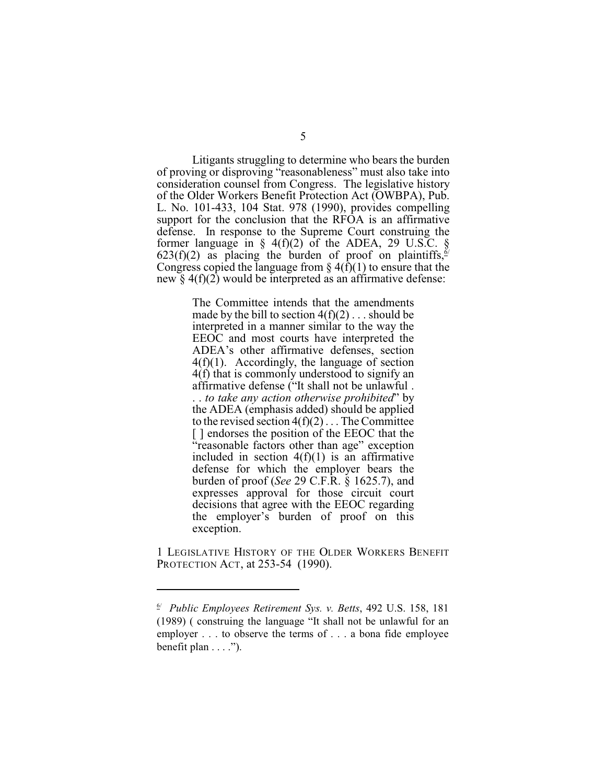Litigants struggling to determine who bears the burden of proving or disproving "reasonableness" must also take into consideration counsel from Congress. The legislative history of the Older Workers Benefit Protection Act (OWBPA), Pub. L. No. 101-433, 104 Stat. 978 (1990), provides compelling support for the conclusion that the RFOA is an affirmative defense. In response to the Supreme Court construing the former language in  $\S$  4(f)(2) of the ADEA, 29 U.S.C.  $\S$ 623(f)(2) as placing the burden of proof on plaintiffs,  $\frac{5}{5}$ Congress copied the language from  $\S 4(\overline{f})(1)$  to ensure that the new  $\S 4(f)(2)$  would be interpreted as an affirmative defense:

> The Committee intends that the amendments made by the bill to section  $4(f)(2) \dots$  should be interpreted in a manner similar to the way the EEOC and most courts have interpreted the ADEA's other affirmative defenses, section 4(f)(1). Accordingly, the language of section 4(f) that is commonly understood to signify an affirmative defense ("It shall not be unlawful . . . *to take any action otherwise prohibited*" by the ADEA (emphasis added) should be applied to the revised section  $4(f)(2)$ ... The Committee [ ] endorses the position of the EEOC that the "reasonable factors other than age" exception included in section  $4(f)(1)$  is an affirmative defense for which the employer bears the burden of proof (*See* 29 C.F.R. § 1625.7), and expresses approval for those circuit court decisions that agree with the EEOC regarding the employer's burden of proof on this exception.

1 LEGISLATIVE HISTORY OF THE OLDER WORKERS BENEFIT PROTECTION ACT, at 253-54 (1990).

*Public Employees Retirement Sys. v. Betts*, 492 U.S. 158, 181 6/ (1989) ( construing the language "It shall not be unlawful for an employer . . . to observe the terms of . . . a bona fide employee benefit plan  $\dots$ .").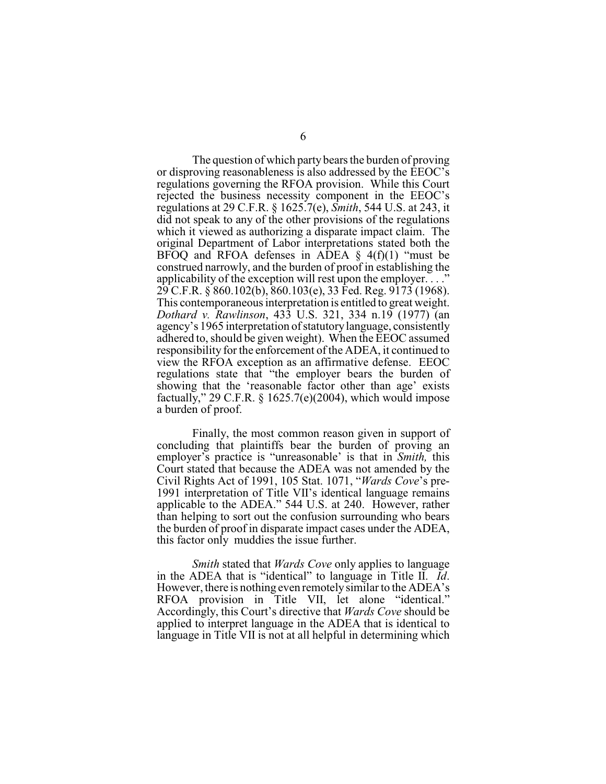The question of which party bears the burden of proving or disproving reasonableness is also addressed by the EEOC's regulations governing the RFOA provision. While this Court rejected the business necessity component in the EEOC's regulations at 29 C.F.R. § 1625.7(e), *Smith*, 544 U.S. at 243, it did not speak to any of the other provisions of the regulations which it viewed as authorizing a disparate impact claim. The original Department of Labor interpretations stated both the BFOQ and RFOA defenses in ADEA  $\S$  4(f)(1) "must be construed narrowly, and the burden of proof in establishing the applicability of the exception will rest upon the employer...." 29 C.F.R. § 860.102(b), 860.103(e), 33 Fed. Reg. 9173 (1968). This contemporaneous interpretation is entitled to great weight. *Dothard v. Rawlinson*, 433 U.S. 321, 334 n.19 (1977) (an agency's 1965 interpretation of statutory language, consistently adhered to, should be given weight). When the EEOC assumed responsibility for the enforcement of the ADEA, it continued to view the RFOA exception as an affirmative defense. EEOC regulations state that "the employer bears the burden of showing that the 'reasonable factor other than age' exists factually," 29 C.F.R. § 1625.7(e)(2004), which would impose a burden of proof.

Finally, the most common reason given in support of concluding that plaintiffs bear the burden of proving an employer's practice is "unreasonable' is that in *Smith,* this Court stated that because the ADEA was not amended by the Civil Rights Act of 1991, 105 Stat. 1071, "*Wards Cove*'s pre-1991 interpretation of Title VII's identical language remains applicable to the ADEA." 544 U.S. at 240. However, rather than helping to sort out the confusion surrounding who bears the burden of proof in disparate impact cases under the ADEA, this factor only muddies the issue further.

*Smith* stated that *Wards Cove* only applies to language in the ADEA that is "identical" to language in Title II. *Id*. However, there is nothing even remotely similar to the ADEA's RFOA provision in Title VII, let alone "identical." Accordingly, this Court's directive that *Wards Cove* should be applied to interpret language in the ADEA that is identical to language in Title VII is not at all helpful in determining which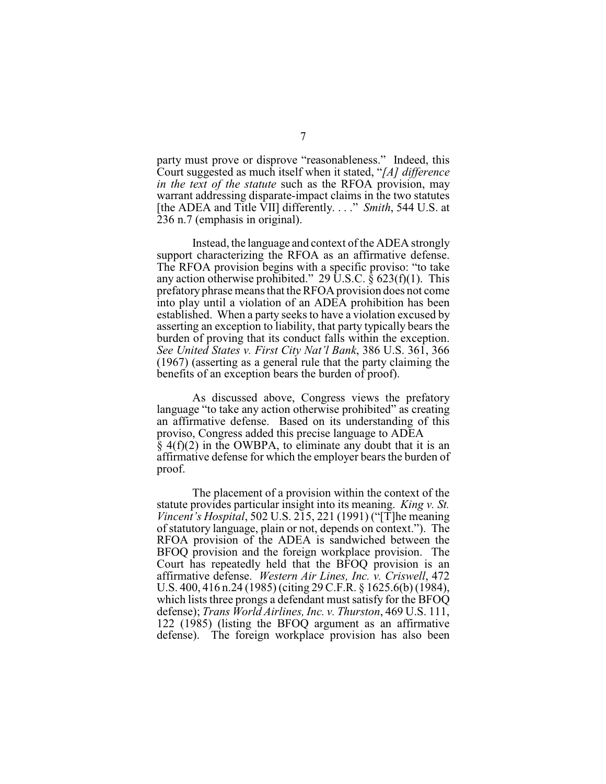party must prove or disprove "reasonableness." Indeed, this Court suggested as much itself when it stated, "*[A] difference in the text of the statute* such as the RFOA provision, may warrant addressing disparate-impact claims in the two statutes [the ADEA and Title VII] differently. . . ." *Smith*, 544 U.S. at 236 n.7 (emphasis in original).

Instead, the language and context of the ADEA strongly support characterizing the RFOA as an affirmative defense. The RFOA provision begins with a specific proviso: "to take any action otherwise prohibited." 29 U.S.C.  $\bar{\S}$  623(f)(1). This prefatory phrase meansthat theRFOA provision does not come into play until a violation of an ADEA prohibition has been established. When a party seeks to have a violation excused by asserting an exception to liability, that party typically bears the burden of proving that its conduct falls within the exception. *See United States v. First City Nat'l Bank*, 386 U.S. 361, 366 (1967) (asserting as a general rule that the party claiming the benefits of an exception bears the burden of proof).

As discussed above, Congress views the prefatory language "to take any action otherwise prohibited" as creating an affirmative defense. Based on its understanding of this proviso, Congress added this precise language to ADEA  $\S$  4(f)(2) in the OWBPA, to eliminate any doubt that it is an affirmative defense for which the employer bears the burden of proof.

The placement of a provision within the context of the statute provides particular insight into its meaning. *King v. St. Vincent's Hospital*, 502 U.S. 215, 221 (1991) ("[T]he meaning of statutory language, plain or not, depends on context."). The RFOA provision of the ADEA is sandwiched between the BFOQ provision and the foreign workplace provision. The Court has repeatedly held that the BFOQ provision is an affirmative defense. *Western Air Lines, Inc. v. Criswell*, 472 U.S. 400, 416 n.24 (1985) (citing 29 C.F.R. § 1625.6(b) (1984), which lists three prongs a defendant must satisfy for the BFOQ defense); *Trans World Airlines, Inc. v. Thurston*, 469 U.S. 111, 122 (1985) (listing the BFOQ argument as an affirmative defense). The foreign workplace provision has also been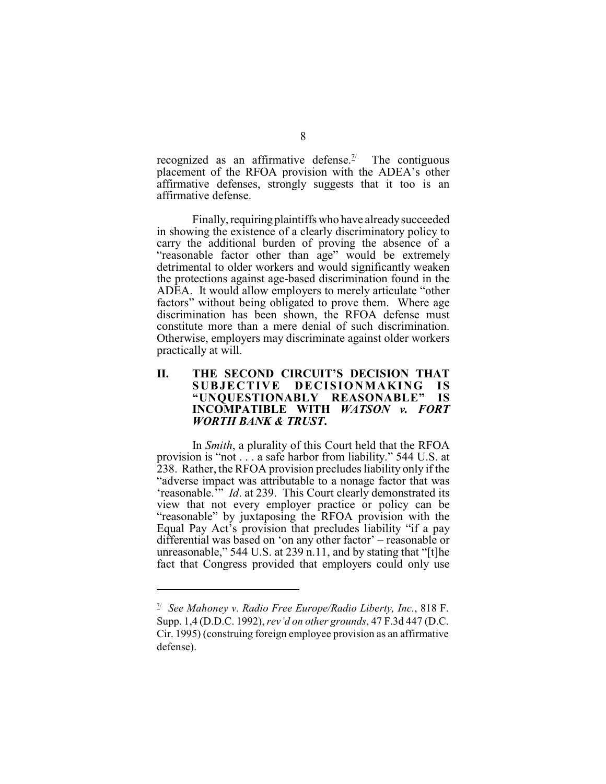recognized as an affirmative defense.<sup> $\frac{1}{2}$ </sup> The contiguous placement of the RFOA provision with the ADEA's other affirmative defenses, strongly suggests that it too is an affirmative defense.

Finally, requiring plaintiffs who have already succeeded in showing the existence of a clearly discriminatory policy to carry the additional burden of proving the absence of a "reasonable factor other than age" would be extremely detrimental to older workers and would significantly weaken the protections against age-based discrimination found in the ADEA. It would allow employers to merely articulate "other factors" without being obligated to prove them. Where age discrimination has been shown, the RFOA defense must constitute more than a mere denial of such discrimination. Otherwise, employers may discriminate against older workers practically at will.

### **II.** THE SECOND CIRCUIT'S DECISION THAT<br>SUBJECTIVE DECISIONMAKING IS DECISIONMAKING IS **"UNQUESTIONABLY REASONABLE" IS INCOMPATIBLE WITH** *WATSON v. FORT WORTH BANK & TRUST***.**

In *Smith*, a plurality of this Court held that the RFOA provision is "not . . . a safe harbor from liability." 544 U.S. at 238. Rather, the RFOA provision precludes liability only if the "adverse impact was attributable to a nonage factor that was 'reasonable.<sup>3</sup>" *Id.* at 239. This Court clearly demonstrated its view that not every employer practice or policy can be "reasonable" by juxtaposing the RFOA provision with the Equal Pay Act's provision that precludes liability "if a pay differential was based on 'on any other factor' – reasonable or unreasonable," 544 U.S. at 239 n.11, and by stating that "[t]he fact that Congress provided that employers could only use

 $\frac{1}{2}$  See Mahoney v. Radio Free Europe/Radio Liberty, Inc., 818 F. Supp. 1,4 (D.D.C. 1992),*rev'd on other grounds*, 47 F.3d 447 (D.C. Cir. 1995) (construing foreign employee provision as an affirmative defense).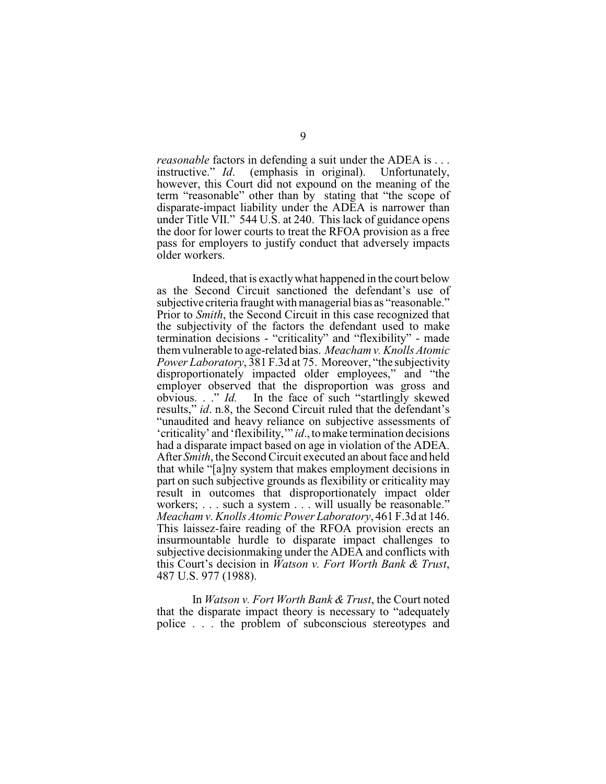*reasonable* factors in defending a suit under the ADEA is ... instructive." *Id.* (emphasis in original). Unfortunately, (emphasis in original). Unfortunately, however, this Court did not expound on the meaning of the term "reasonable" other than by stating that "the scope of disparate-impact liability under the ADEA is narrower than under Title VII." 544 U.S. at 240. This lack of guidance opens the door for lower courts to treat the RFOA provision as a free pass for employers to justify conduct that adversely impacts older workers.

Indeed, that is exactly what happened in the court below as the Second Circuit sanctioned the defendant's use of subjective criteria fraught with managerial bias as "reasonable." Prior to *Smith*, the Second Circuit in this case recognized that the subjectivity of the factors the defendant used to make termination decisions - "criticality" and "flexibility" - made them vulnerable to age-related bias. *Meacham v. Knolls Atomic Power Laboratory*, 381 F.3d at 75. Moreover, "the subjectivity disproportionately impacted older employees," and "the employer observed that the disproportion was gross and obvious.  $\therefore$  *d*. In the face of such "startlingly skewed" In the face of such "startlingly skewed" results," *id*. n.8, the Second Circuit ruled that the defendant's "unaudited and heavy reliance on subjective assessments of 'criticality' and 'flexibility,'" *id*., to make termination decisions had a disparate impact based on age in violation of the ADEA. After *Smith*, the Second Circuit executed an about face and held that while "[a]ny system that makes employment decisions in part on such subjective grounds as flexibility or criticality may result in outcomes that disproportionately impact older workers; . . . such a system . . . will usually be reasonable." *Meacham v.Knolls Atomic Power Laboratory*, 461 F.3d at 146. This laissez-faire reading of the RFOA provision erects an insurmountable hurdle to disparate impact challenges to subjective decisionmaking under the ADEA and conflicts with this Court's decision in *Watson v. Fort Worth Bank & Trust*, 487 U.S. 977 (1988).

In *Watson v. Fort Worth Bank & Trust*, the Court noted that the disparate impact theory is necessary to "adequately police . . . the problem of subconscious stereotypes and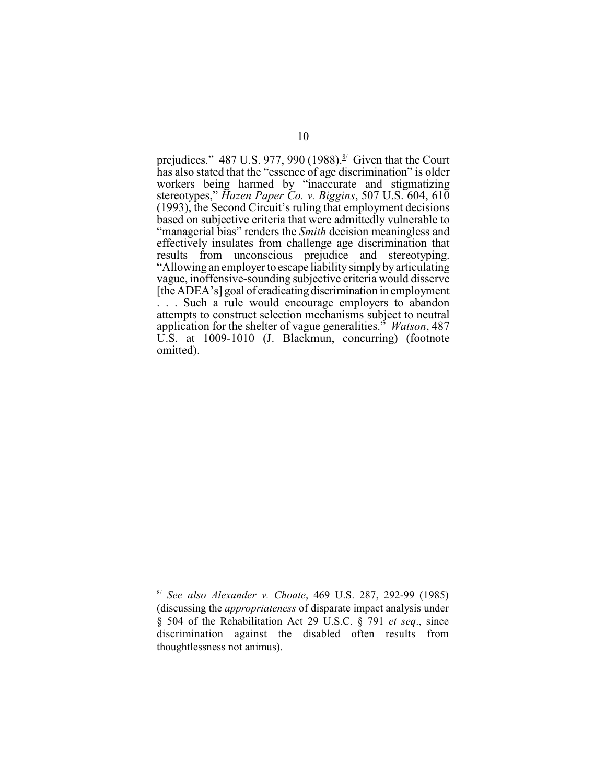prejudices." 487 U.S. 977, 990 (1988). $\frac{8}{3}$  Given that the Court has also stated that the "essence of age discrimination" is older workers being harmed by "inaccurate and stigmatizing stereotypes," *Hazen Paper Co. v. Biggins*, 507 U.S. 604, 610 (1993), the Second Circuit's ruling that employment decisions based on subjective criteria that were admittedly vulnerable to "managerial bias" renders the *Smith* decision meaningless and effectively insulates from challenge age discrimination that results from unconscious prejudice and stereotyping. "Allowing an employer to escape liability simply by articulating vague, inoffensive-sounding subjective criteria would disserve [the ADEA's] goal of eradicating discrimination in employment . . . Such a rule would encourage employers to abandon attempts to construct selection mechanisms subject to neutral application for the shelter of vague generalities." *Watson*, 487 U.S. at 1009-1010 (J. Blackmun, concurring) (footnote omitted).

*See also Alexander v. Choate*, 469 U.S. 287, 292-99 (1985) 8/ (discussing the *appropriateness* of disparate impact analysis under § 504 of the Rehabilitation Act 29 U.S.C. § 791 *et seq*., since discrimination against the disabled often results from thoughtlessness not animus).